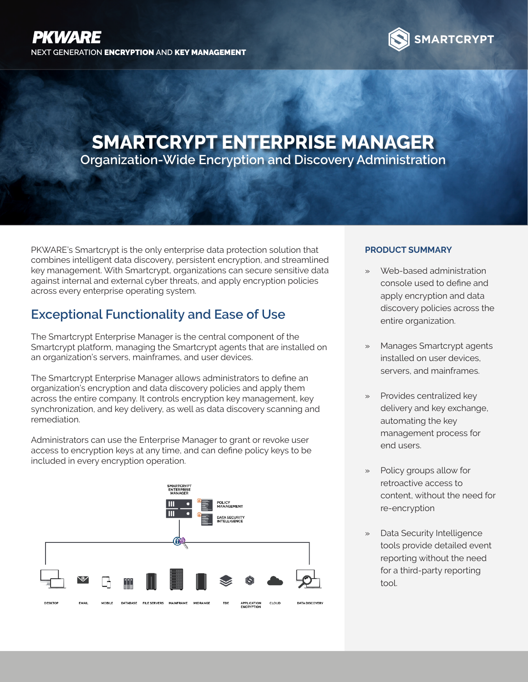

# **SMARTCRYPT ENTERPRISE MANAGER Organization-Wide Encryption and Discovery Administration**

PKWARE's Smartcrypt is the only enterprise data protection solution that combines intelligent data discovery, persistent encryption, and streamlined key management. With Smartcrypt, organizations can secure sensitive data against internal and external cyber threats, and apply encryption policies across every enterprise operating system.

## **Exceptional Functionality and Ease of Use**

The Smartcrypt Enterprise Manager is the central component of the Smartcrypt platform, managing the Smartcrypt agents that are installed on an organization's servers, mainframes, and user devices.

The Smartcrypt Enterprise Manager allows administrators to define an organization's encryption and data discovery policies and apply them across the entire company. It controls encryption key management, key synchronization, and key delivery, as well as data discovery scanning and remediation.

Administrators can use the Enterprise Manager to grant or revoke user access to encryption keys at any time, and can define policy keys to be included in every encryption operation.



### **PRODUCT SUMMARY**

- » Web-based administration console used to define and apply encryption and data discovery policies across the entire organization.
- » Manages Smartcrypt agents installed on user devices, servers, and mainframes.
- » Provides centralized key delivery and key exchange, automating the key management process for end users.
- Policy groups allow for retroactive access to content, without the need for re-encryption
- » Data Security Intelligence tools provide detailed event reporting without the need for a third-party reporting tool.